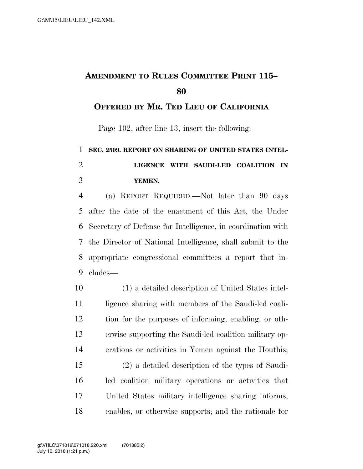## **AMENDMENT TO RULES COMMITTEE PRINT 115–**

## **OFFERED BY MR. TED LIEU OF CALIFORNIA**

Page 102, after line 13, insert the following:

 **SEC. 2509. REPORT ON SHARING OF UNITED STATES INTEL- LIGENCE WITH SAUDI-LED COALITION IN YEMEN.** 

 (a) REPORT REQUIRED.—Not later than 90 days after the date of the enactment of this Act, the Under Secretary of Defense for Intelligence, in coordination with the Director of National Intelligence, shall submit to the appropriate congressional committees a report that in-cludes—

 (1) a detailed description of United States intel-11 ligence sharing with members of the Saudi-led coali- tion for the purposes of informing, enabling, or oth- erwise supporting the Saudi-led coalition military op-erations or activities in Yemen against the Houthis;

 (2) a detailed description of the types of Saudi- led coalition military operations or activities that United States military intelligence sharing informs, enables, or otherwise supports; and the rationale for